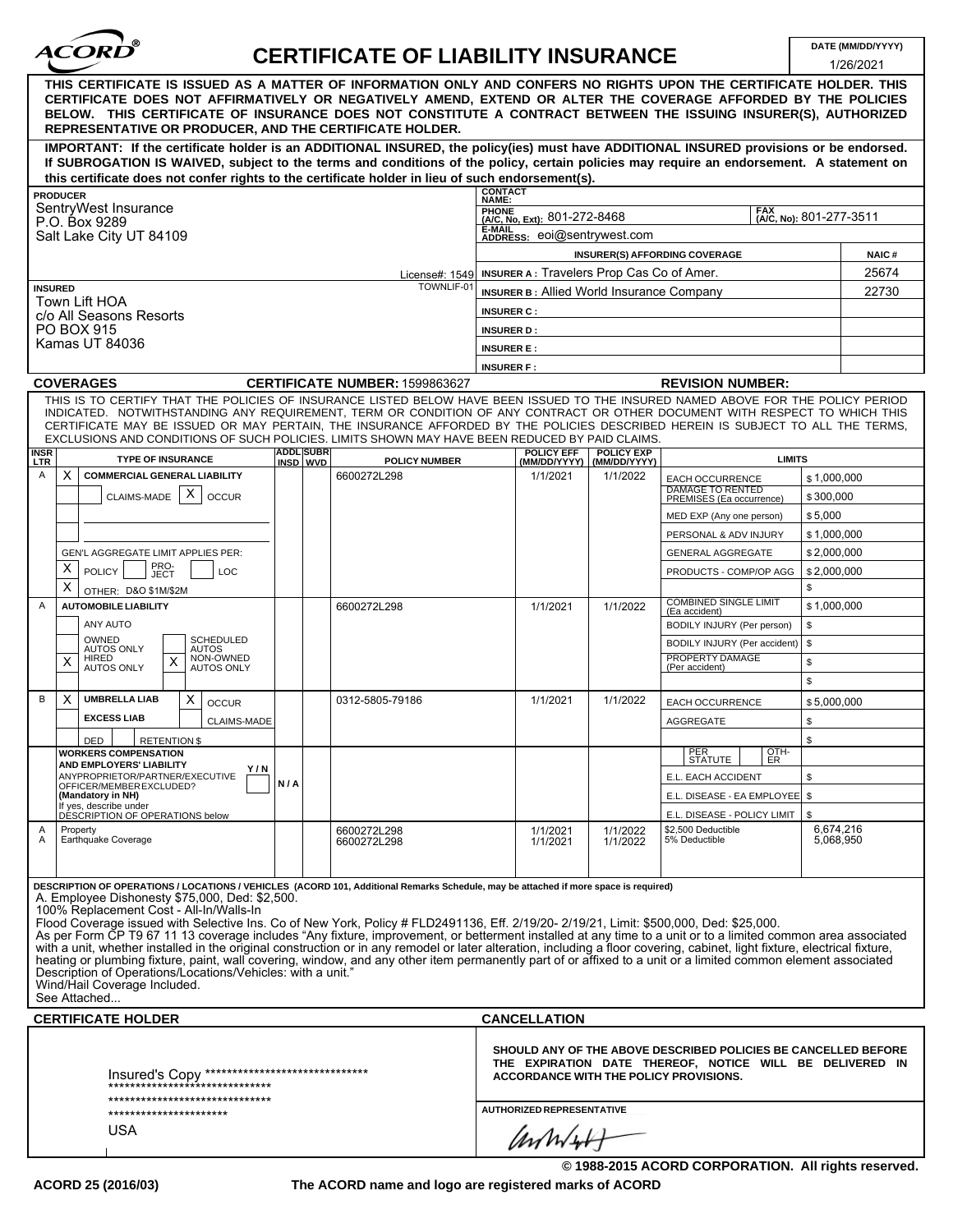

## **CERTIFICATE OF LIABILITY INSURANCE DATE (MM/DD/YYYY)**

|                                                                                                                                                                                                                                                                                                                                                                                                                  |                                                                                                                                                                                                                                                                                                                                                                                                                                                                                                                                                                                                                                                                                                                                                                                                                                                                                                                                                                                                           |                  |  |                                |                                                                                                                                                                             |                                                                                                  |                             |                                                     |                   | 1/26/2021 |  |
|------------------------------------------------------------------------------------------------------------------------------------------------------------------------------------------------------------------------------------------------------------------------------------------------------------------------------------------------------------------------------------------------------------------|-----------------------------------------------------------------------------------------------------------------------------------------------------------------------------------------------------------------------------------------------------------------------------------------------------------------------------------------------------------------------------------------------------------------------------------------------------------------------------------------------------------------------------------------------------------------------------------------------------------------------------------------------------------------------------------------------------------------------------------------------------------------------------------------------------------------------------------------------------------------------------------------------------------------------------------------------------------------------------------------------------------|------------------|--|--------------------------------|-----------------------------------------------------------------------------------------------------------------------------------------------------------------------------|--------------------------------------------------------------------------------------------------|-----------------------------|-----------------------------------------------------|-------------------|-----------|--|
| THIS CERTIFICATE IS ISSUED AS A MATTER OF INFORMATION ONLY AND CONFERS NO RIGHTS UPON THE CERTIFICATE HOLDER. THIS<br>CERTIFICATE DOES NOT AFFIRMATIVELY OR NEGATIVELY AMEND, EXTEND OR ALTER THE COVERAGE AFFORDED BY THE POLICIES<br>BELOW. THIS CERTIFICATE OF INSURANCE DOES NOT CONSTITUTE A CONTRACT BETWEEN THE ISSUING INSURER(S), AUTHORIZED<br>REPRESENTATIVE OR PRODUCER, AND THE CERTIFICATE HOLDER. |                                                                                                                                                                                                                                                                                                                                                                                                                                                                                                                                                                                                                                                                                                                                                                                                                                                                                                                                                                                                           |                  |  |                                |                                                                                                                                                                             |                                                                                                  |                             |                                                     |                   |           |  |
| IMPORTANT: If the certificate holder is an ADDITIONAL INSURED, the policy(ies) must have ADDITIONAL INSURED provisions or be endorsed.                                                                                                                                                                                                                                                                           |                                                                                                                                                                                                                                                                                                                                                                                                                                                                                                                                                                                                                                                                                                                                                                                                                                                                                                                                                                                                           |                  |  |                                |                                                                                                                                                                             |                                                                                                  |                             |                                                     |                   |           |  |
| If SUBROGATION IS WAIVED, subject to the terms and conditions of the policy, certain policies may require an endorsement. A statement on<br>this certificate does not confer rights to the certificate holder in lieu of such endorsement(s).                                                                                                                                                                    |                                                                                                                                                                                                                                                                                                                                                                                                                                                                                                                                                                                                                                                                                                                                                                                                                                                                                                                                                                                                           |                  |  |                                |                                                                                                                                                                             |                                                                                                  |                             |                                                     |                   |           |  |
| <b>CONTACT</b><br><b>PRODUCER</b>                                                                                                                                                                                                                                                                                                                                                                                |                                                                                                                                                                                                                                                                                                                                                                                                                                                                                                                                                                                                                                                                                                                                                                                                                                                                                                                                                                                                           |                  |  |                                |                                                                                                                                                                             |                                                                                                  |                             |                                                     |                   |           |  |
|                                                                                                                                                                                                                                                                                                                                                                                                                  | SentryWest Insurance                                                                                                                                                                                                                                                                                                                                                                                                                                                                                                                                                                                                                                                                                                                                                                                                                                                                                                                                                                                      |                  |  |                                | NAME:<br><b>FAX</b>                                                                                                                                                         |                                                                                                  |                             |                                                     |                   |           |  |
| P.O. Box 9289<br>Salt Lake City UT 84109                                                                                                                                                                                                                                                                                                                                                                         |                                                                                                                                                                                                                                                                                                                                                                                                                                                                                                                                                                                                                                                                                                                                                                                                                                                                                                                                                                                                           |                  |  |                                |                                                                                                                                                                             | PHONE<br>(A/C, No, Ext): 801-272-8468<br>(A/C, No): 801-277-3511<br>E-MAIL                       |                             |                                                     |                   |           |  |
|                                                                                                                                                                                                                                                                                                                                                                                                                  |                                                                                                                                                                                                                                                                                                                                                                                                                                                                                                                                                                                                                                                                                                                                                                                                                                                                                                                                                                                                           |                  |  |                                |                                                                                                                                                                             | ADDRESS: eoi@sentrywest.com<br><b>NAIC#</b>                                                      |                             |                                                     |                   |           |  |
|                                                                                                                                                                                                                                                                                                                                                                                                                  |                                                                                                                                                                                                                                                                                                                                                                                                                                                                                                                                                                                                                                                                                                                                                                                                                                                                                                                                                                                                           |                  |  |                                |                                                                                                                                                                             | <b>INSURER(S) AFFORDING COVERAGE</b><br>License#: 1549 INSURER A: Travelers Prop Cas Co of Amer. |                             |                                                     |                   |           |  |
| TOWNLIF-01<br><b>INSURED</b>                                                                                                                                                                                                                                                                                                                                                                                     |                                                                                                                                                                                                                                                                                                                                                                                                                                                                                                                                                                                                                                                                                                                                                                                                                                                                                                                                                                                                           |                  |  |                                |                                                                                                                                                                             | <b>INSURER B: Allied World Insurance Company</b>                                                 |                             |                                                     |                   |           |  |
| Town Lift HOA                                                                                                                                                                                                                                                                                                                                                                                                    |                                                                                                                                                                                                                                                                                                                                                                                                                                                                                                                                                                                                                                                                                                                                                                                                                                                                                                                                                                                                           |                  |  |                                |                                                                                                                                                                             |                                                                                                  |                             |                                                     |                   |           |  |
|                                                                                                                                                                                                                                                                                                                                                                                                                  | c/o All Seasons Resorts<br>PO BOX 915                                                                                                                                                                                                                                                                                                                                                                                                                                                                                                                                                                                                                                                                                                                                                                                                                                                                                                                                                                     |                  |  |                                | <b>INSURER C:</b><br><b>INSURER D:</b>                                                                                                                                      |                                                                                                  |                             |                                                     |                   |           |  |
|                                                                                                                                                                                                                                                                                                                                                                                                                  | Kamas UT 84036                                                                                                                                                                                                                                                                                                                                                                                                                                                                                                                                                                                                                                                                                                                                                                                                                                                                                                                                                                                            |                  |  |                                |                                                                                                                                                                             |                                                                                                  |                             |                                                     |                   |           |  |
|                                                                                                                                                                                                                                                                                                                                                                                                                  |                                                                                                                                                                                                                                                                                                                                                                                                                                                                                                                                                                                                                                                                                                                                                                                                                                                                                                                                                                                                           |                  |  |                                | <b>INSURER E:</b><br><b>INSURER F:</b>                                                                                                                                      |                                                                                                  |                             |                                                     |                   |           |  |
|                                                                                                                                                                                                                                                                                                                                                                                                                  | <b>COVERAGES</b>                                                                                                                                                                                                                                                                                                                                                                                                                                                                                                                                                                                                                                                                                                                                                                                                                                                                                                                                                                                          |                  |  | CERTIFICATE NUMBER: 1599863627 |                                                                                                                                                                             |                                                                                                  |                             | <b>REVISION NUMBER:</b>                             |                   |           |  |
| <b>INSR</b>                                                                                                                                                                                                                                                                                                                                                                                                      | THIS IS TO CERTIFY THAT THE POLICIES OF INSURANCE LISTED BELOW HAVE BEEN ISSUED TO THE INSURED NAMED ABOVE FOR THE POLICY PERIOD<br>INDICATED. NOTWITHSTANDING ANY REQUIREMENT, TERM OR CONDITION OF ANY CONTRACT OR OTHER DOCUMENT WITH RESPECT TO WHICH THIS<br>CERTIFICATE MAY BE ISSUED OR MAY PERTAIN, THE INSURANCE AFFORDED BY THE POLICIES DESCRIBED HEREIN IS SUBJECT TO ALL THE TERMS,<br>EXCLUSIONS AND CONDITIONS OF SUCH POLICIES. LIMITS SHOWN MAY HAVE BEEN REDUCED BY PAID CLAIMS.                                                                                                                                                                                                                                                                                                                                                                                                                                                                                                        | <b>ADDL SUBR</b> |  |                                |                                                                                                                                                                             | <b>POLICY EFF</b>                                                                                | <b>POLICY EXP</b>           |                                                     |                   |           |  |
| <b>LTR</b>                                                                                                                                                                                                                                                                                                                                                                                                       | <b>TYPE OF INSURANCE</b>                                                                                                                                                                                                                                                                                                                                                                                                                                                                                                                                                                                                                                                                                                                                                                                                                                                                                                                                                                                  | INSD WVD         |  | <b>POLICY NUMBER</b>           |                                                                                                                                                                             |                                                                                                  | (MM/DD/YYYY)   (MM/DD/YYYY) | <b>LIMITS</b>                                       |                   |           |  |
| Α<br>X.                                                                                                                                                                                                                                                                                                                                                                                                          | <b>COMMERCIAL GENERAL LIABILITY</b>                                                                                                                                                                                                                                                                                                                                                                                                                                                                                                                                                                                                                                                                                                                                                                                                                                                                                                                                                                       |                  |  | 6600272L298                    |                                                                                                                                                                             | 1/1/2021                                                                                         | 1/1/2022                    | <b>EACH OCCURRENCE</b><br><b>DAMAGE TO RENTED</b>   | \$1,000,000       |           |  |
|                                                                                                                                                                                                                                                                                                                                                                                                                  | Х<br>CLAIMS-MADE<br><b>OCCUR</b>                                                                                                                                                                                                                                                                                                                                                                                                                                                                                                                                                                                                                                                                                                                                                                                                                                                                                                                                                                          |                  |  |                                |                                                                                                                                                                             |                                                                                                  |                             | PREMISES (Ea occurrence)                            | \$300,000         |           |  |
|                                                                                                                                                                                                                                                                                                                                                                                                                  |                                                                                                                                                                                                                                                                                                                                                                                                                                                                                                                                                                                                                                                                                                                                                                                                                                                                                                                                                                                                           |                  |  |                                |                                                                                                                                                                             |                                                                                                  |                             | MED EXP (Any one person)                            | \$5,000           |           |  |
|                                                                                                                                                                                                                                                                                                                                                                                                                  |                                                                                                                                                                                                                                                                                                                                                                                                                                                                                                                                                                                                                                                                                                                                                                                                                                                                                                                                                                                                           |                  |  |                                |                                                                                                                                                                             |                                                                                                  |                             | PERSONAL & ADV INJURY                               | \$1,000,000       |           |  |
| х                                                                                                                                                                                                                                                                                                                                                                                                                | GEN'L AGGREGATE LIMIT APPLIES PER:<br>PRO-<br>JECT                                                                                                                                                                                                                                                                                                                                                                                                                                                                                                                                                                                                                                                                                                                                                                                                                                                                                                                                                        |                  |  |                                |                                                                                                                                                                             |                                                                                                  |                             | <b>GENERAL AGGREGATE</b>                            | \$2,000,000       |           |  |
| х                                                                                                                                                                                                                                                                                                                                                                                                                | <b>POLICY</b><br>LOC                                                                                                                                                                                                                                                                                                                                                                                                                                                                                                                                                                                                                                                                                                                                                                                                                                                                                                                                                                                      |                  |  |                                |                                                                                                                                                                             |                                                                                                  |                             | PRODUCTS - COMP/OP AGG                              | \$2,000,000<br>\$ |           |  |
| OTHER: D&O \$1M/\$2M<br><b>AUTOMOBILE LIABILITY</b><br>Α                                                                                                                                                                                                                                                                                                                                                         |                                                                                                                                                                                                                                                                                                                                                                                                                                                                                                                                                                                                                                                                                                                                                                                                                                                                                                                                                                                                           |                  |  | 6600272L298                    |                                                                                                                                                                             | 1/1/2021                                                                                         | 1/1/2022                    | <b>COMBINED SINGLE LIMIT</b>                        | \$1,000,000       |           |  |
|                                                                                                                                                                                                                                                                                                                                                                                                                  | ANY AUTO                                                                                                                                                                                                                                                                                                                                                                                                                                                                                                                                                                                                                                                                                                                                                                                                                                                                                                                                                                                                  |                  |  |                                |                                                                                                                                                                             |                                                                                                  |                             | (Ea accident)<br>BODILY INJURY (Per person)         | \$                |           |  |
|                                                                                                                                                                                                                                                                                                                                                                                                                  | OWNED<br><b>SCHEDULED</b>                                                                                                                                                                                                                                                                                                                                                                                                                                                                                                                                                                                                                                                                                                                                                                                                                                                                                                                                                                                 |                  |  |                                |                                                                                                                                                                             |                                                                                                  |                             | BODILY INJURY (Per accident)                        | \$                |           |  |
|                                                                                                                                                                                                                                                                                                                                                                                                                  | <b>AUTOS ONLY</b><br><b>AUTOS</b><br>NON-OWNED<br>HIRED<br>X                                                                                                                                                                                                                                                                                                                                                                                                                                                                                                                                                                                                                                                                                                                                                                                                                                                                                                                                              |                  |  |                                |                                                                                                                                                                             |                                                                                                  |                             | PROPERTY DAMAGE                                     | \$                |           |  |
|                                                                                                                                                                                                                                                                                                                                                                                                                  | <b>AUTOS ONLY</b><br><b>AUTOS ONLY</b>                                                                                                                                                                                                                                                                                                                                                                                                                                                                                                                                                                                                                                                                                                                                                                                                                                                                                                                                                                    |                  |  |                                |                                                                                                                                                                             |                                                                                                  |                             | (Per accident)                                      | \$                |           |  |
| В<br>X                                                                                                                                                                                                                                                                                                                                                                                                           | <b>UMBRELLA LIAB</b><br>X<br><b>OCCUR</b>                                                                                                                                                                                                                                                                                                                                                                                                                                                                                                                                                                                                                                                                                                                                                                                                                                                                                                                                                                 |                  |  | 0312-5805-79186                |                                                                                                                                                                             | 1/1/2021                                                                                         | 1/1/2022                    | <b>EACH OCCURRENCE</b>                              | \$5,000,000       |           |  |
|                                                                                                                                                                                                                                                                                                                                                                                                                  | <b>EXCESS LIAB</b><br><b>CLAIMS-MADE</b>                                                                                                                                                                                                                                                                                                                                                                                                                                                                                                                                                                                                                                                                                                                                                                                                                                                                                                                                                                  |                  |  |                                |                                                                                                                                                                             |                                                                                                  |                             | <b>AGGREGATE</b>                                    | \$                |           |  |
|                                                                                                                                                                                                                                                                                                                                                                                                                  | <b>RETENTION \$</b><br>DED                                                                                                                                                                                                                                                                                                                                                                                                                                                                                                                                                                                                                                                                                                                                                                                                                                                                                                                                                                                |                  |  |                                |                                                                                                                                                                             |                                                                                                  |                             |                                                     | \$                |           |  |
|                                                                                                                                                                                                                                                                                                                                                                                                                  | <b>WORKERS COMPENSATION</b>                                                                                                                                                                                                                                                                                                                                                                                                                                                                                                                                                                                                                                                                                                                                                                                                                                                                                                                                                                               |                  |  |                                |                                                                                                                                                                             |                                                                                                  |                             | PER<br>OTH-<br>SIAIUIE I                            |                   |           |  |
|                                                                                                                                                                                                                                                                                                                                                                                                                  | AND EMPLOYERS' LIABILITY<br>Y/N<br>ANYPROPRIETOR/PARTNER/EXECUTIVE                                                                                                                                                                                                                                                                                                                                                                                                                                                                                                                                                                                                                                                                                                                                                                                                                                                                                                                                        |                  |  |                                |                                                                                                                                                                             |                                                                                                  |                             | 1 ER<br>E.L. EACH ACCIDENT                          | \$                |           |  |
|                                                                                                                                                                                                                                                                                                                                                                                                                  | OFFICER/MEMBER EXCLUDED?<br>(Mandatory in NH)                                                                                                                                                                                                                                                                                                                                                                                                                                                                                                                                                                                                                                                                                                                                                                                                                                                                                                                                                             | N/A              |  |                                |                                                                                                                                                                             |                                                                                                  |                             | E.L. DISEASE - EA EMPLOYEE   \$                     |                   |           |  |
|                                                                                                                                                                                                                                                                                                                                                                                                                  | If yes, describe under<br>DESCRIPTION OF OPERATIONS below                                                                                                                                                                                                                                                                                                                                                                                                                                                                                                                                                                                                                                                                                                                                                                                                                                                                                                                                                 |                  |  |                                |                                                                                                                                                                             |                                                                                                  |                             | E.L. DISEASE - POLICY LIMIT                         | \$                |           |  |
| Α                                                                                                                                                                                                                                                                                                                                                                                                                | Property                                                                                                                                                                                                                                                                                                                                                                                                                                                                                                                                                                                                                                                                                                                                                                                                                                                                                                                                                                                                  |                  |  | 6600272L298                    |                                                                                                                                                                             | 1/1/2021                                                                                         | 1/1/2022                    | \$2,500 Deductible                                  | 6,674,216         |           |  |
| Α                                                                                                                                                                                                                                                                                                                                                                                                                | Earthquake Coverage                                                                                                                                                                                                                                                                                                                                                                                                                                                                                                                                                                                                                                                                                                                                                                                                                                                                                                                                                                                       |                  |  | 6600272L298                    |                                                                                                                                                                             | 1/1/2021                                                                                         | 1/1/2022                    | 5% Deductible                                       | 5,068,950         |           |  |
|                                                                                                                                                                                                                                                                                                                                                                                                                  | DESCRIPTION OF OPERATIONS / LOCATIONS / VEHICLES (ACORD 101, Additional Remarks Schedule, may be attached if more space is required)<br>A. Employee Dishonesty \$75,000, Ded: \$2,500.<br>100% Replacement Cost - All-In/Walls-In<br>Flood Coverage issued with Selective Ins. Co of New York, Policy # FLD2491136, Eff. 2/19/20- 2/19/21, Limit: \$500,000, Ded: \$25,000.<br>As per Form CP T9 67 11 13 coverage includes "Any fixture, improvement, or betterment installed at any time to a unit or to a limited common area associated<br>with a unit, whether installed in the original construction or in any remodel or later alteration, including a floor covering, cabinet, light fixture, electrical fixture,<br>heating or plumbing fixture, paint, wall covering, window, and any other item permanently part of or affixed to a unit or a limited common element associated<br>Description of Operations/Locations/Vehicles: with a unit."<br>Wind/Hail Coverage Included.<br>See Attached |                  |  |                                |                                                                                                                                                                             |                                                                                                  |                             |                                                     |                   |           |  |
|                                                                                                                                                                                                                                                                                                                                                                                                                  | <b>CERTIFICATE HOLDER</b>                                                                                                                                                                                                                                                                                                                                                                                                                                                                                                                                                                                                                                                                                                                                                                                                                                                                                                                                                                                 |                  |  |                                |                                                                                                                                                                             | <b>CANCELLATION</b>                                                                              |                             |                                                     |                   |           |  |
| Insured's Copy *******************************<br>**********************                                                                                                                                                                                                                                                                                                                                         |                                                                                                                                                                                                                                                                                                                                                                                                                                                                                                                                                                                                                                                                                                                                                                                                                                                                                                                                                                                                           |                  |  |                                | SHOULD ANY OF THE ABOVE DESCRIBED POLICIES BE CANCELLED BEFORE<br>THE EXPIRATION DATE THEREOF, NOTICE WILL BE DELIVERED IN<br><b>ACCORDANCE WITH THE POLICY PROVISIONS.</b> |                                                                                                  |                             |                                                     |                   |           |  |
| *******************************<br>**********************                                                                                                                                                                                                                                                                                                                                                        |                                                                                                                                                                                                                                                                                                                                                                                                                                                                                                                                                                                                                                                                                                                                                                                                                                                                                                                                                                                                           |                  |  |                                |                                                                                                                                                                             | AUTHORIZED REPRESENTATIVE                                                                        |                             |                                                     |                   |           |  |
| <b>USA</b>                                                                                                                                                                                                                                                                                                                                                                                                       |                                                                                                                                                                                                                                                                                                                                                                                                                                                                                                                                                                                                                                                                                                                                                                                                                                                                                                                                                                                                           |                  |  |                                |                                                                                                                                                                             | anniv                                                                                            |                             |                                                     |                   |           |  |
|                                                                                                                                                                                                                                                                                                                                                                                                                  |                                                                                                                                                                                                                                                                                                                                                                                                                                                                                                                                                                                                                                                                                                                                                                                                                                                                                                                                                                                                           |                  |  |                                |                                                                                                                                                                             |                                                                                                  |                             | © 1988-2015 ACORD CORPORATION. All rights reserved. |                   |           |  |

**The ACORD name and logo are registered marks of ACORD**